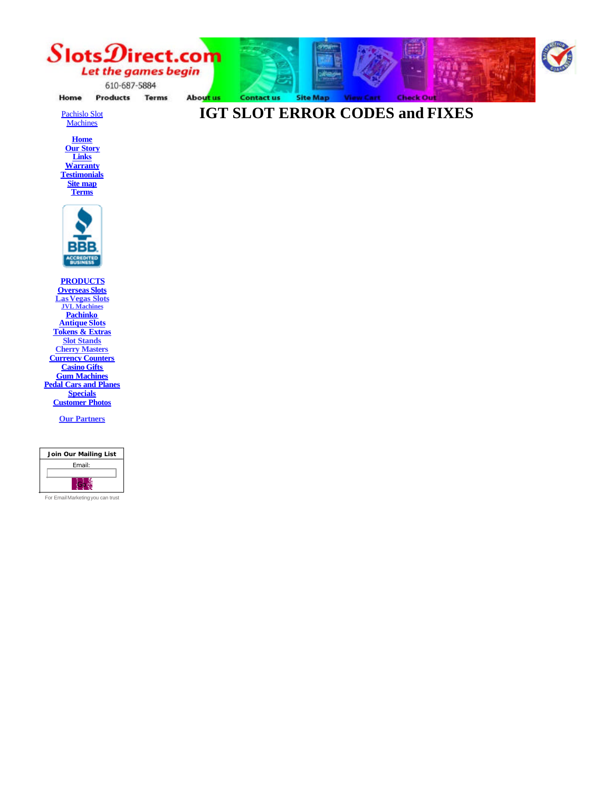

About us

**Contact us** 

Home **Products Terms** 

Pachislo Slot **Machines** 



**Testimonials Site map Terms**



**PRODUCTS Overseas Slots LasVegas Slots JVL Machines Pachinko Antique Slots Tokens & Extras Slot Stands Cherry Masters Currency Counters Casino Gifts Gum Machines Pedal Cars and Planes Specials Customer Photos**

**Our Partners**



For EmailMarketingyou can trust

**Site Map View Cart IGT SLOT ERROR CODES and FIXES**

**Check Out** 

99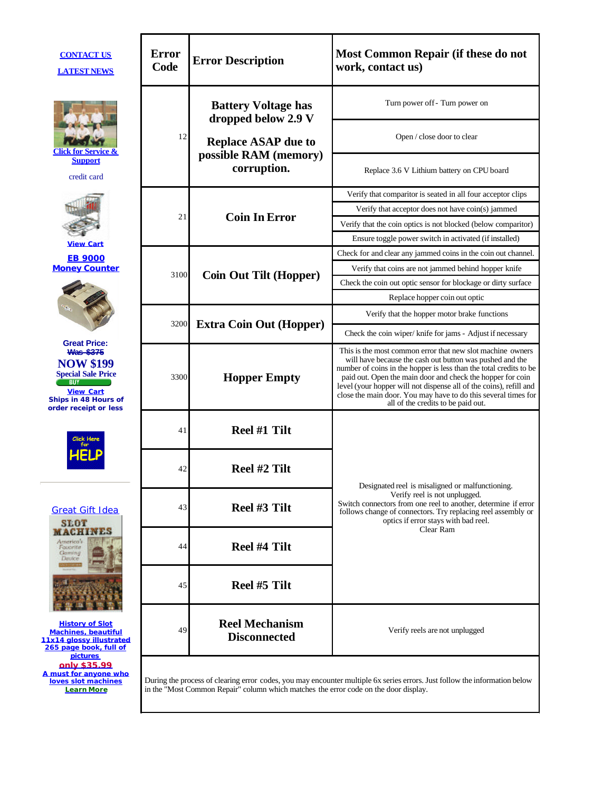| <b>CONTACT US</b><br><b>LATEST NEWS</b>                                                                                                                                     | <b>Error</b><br>Code | <b>Error Description</b>                                                             | Most Common Repair (if these do not<br>work, contact us)                                                                                                                                                                                                                                                                                                                                                                                 |
|-----------------------------------------------------------------------------------------------------------------------------------------------------------------------------|----------------------|--------------------------------------------------------------------------------------|------------------------------------------------------------------------------------------------------------------------------------------------------------------------------------------------------------------------------------------------------------------------------------------------------------------------------------------------------------------------------------------------------------------------------------------|
| Click for Service &<br><b>Support</b><br>credit card                                                                                                                        | 12                   | <b>Battery Voltage has</b><br>dropped below 2.9 V                                    | Turn power off - Turn power on                                                                                                                                                                                                                                                                                                                                                                                                           |
|                                                                                                                                                                             |                      | <b>Replace ASAP due to</b><br>possible RAM (memory)<br>corruption.                   | Open / close door to clear                                                                                                                                                                                                                                                                                                                                                                                                               |
|                                                                                                                                                                             |                      |                                                                                      | Replace 3.6 V Lithium battery on CPU board                                                                                                                                                                                                                                                                                                                                                                                               |
|                                                                                                                                                                             | 21                   | <b>Coin In Error</b>                                                                 | Verify that comparitor is seated in all four acceptor clips                                                                                                                                                                                                                                                                                                                                                                              |
|                                                                                                                                                                             |                      |                                                                                      | Verify that acceptor does not have coin(s) jammed                                                                                                                                                                                                                                                                                                                                                                                        |
|                                                                                                                                                                             |                      |                                                                                      | Verify that the coin optics is not blocked (below comparitor)                                                                                                                                                                                                                                                                                                                                                                            |
| <b>View Cart</b>                                                                                                                                                            |                      |                                                                                      | Ensure toggle power switch in activated (if installed)                                                                                                                                                                                                                                                                                                                                                                                   |
| <b>EB 9000</b>                                                                                                                                                              |                      | <b>Coin Out Tilt (Hopper)</b>                                                        | Check for and clear any jammed coins in the coin out channel.                                                                                                                                                                                                                                                                                                                                                                            |
| <b>Money Counter</b>                                                                                                                                                        | 3100                 |                                                                                      | Verify that coins are not jammed behind hopper knife                                                                                                                                                                                                                                                                                                                                                                                     |
|                                                                                                                                                                             |                      |                                                                                      | Check the coin out optic sensor for blockage or dirty surface                                                                                                                                                                                                                                                                                                                                                                            |
|                                                                                                                                                                             |                      |                                                                                      | Replace hopper coin out optic                                                                                                                                                                                                                                                                                                                                                                                                            |
| <b>Great Price:</b><br><b>Was \$375</b><br><b>NOW \$199</b><br><b>Special Sale Price</b><br><b>BUY</b><br><b>View Cart</b><br>Ships in 48 Hours of<br>order receipt or less | 3200                 | <b>Extra Coin Out (Hopper)</b>                                                       | Verify that the hopper motor brake functions                                                                                                                                                                                                                                                                                                                                                                                             |
|                                                                                                                                                                             |                      |                                                                                      | Check the coin wiper/ knife for jams - Adjust if necessary                                                                                                                                                                                                                                                                                                                                                                               |
|                                                                                                                                                                             | 3300                 | <b>Hopper Empty</b>                                                                  | This is the most common error that new slot machine owners<br>will have because the cash out button was pushed and the<br>number of coins in the hopper is less than the total credits to be<br>paid out. Open the main door and check the hopper for coin<br>level (your hopper will not dispense all of the coins), refill and<br>close the main door. You may have to do this several times for<br>all of the credits to be paid out. |
| <b>Great Gift Idea</b><br><b>SLOT</b><br><b>MACHINES</b><br>America's<br>Fouarite<br>Gaming<br>Dautce                                                                       | 41                   | Reel #1 Tilt                                                                         |                                                                                                                                                                                                                                                                                                                                                                                                                                          |
|                                                                                                                                                                             | 42                   | Reel #2 Tilt                                                                         | Designated reel is misaligned or malfunctioning.                                                                                                                                                                                                                                                                                                                                                                                         |
|                                                                                                                                                                             | 43                   | Reel #3 Tilt                                                                         | Verify reel is not unplugged.<br>Switch connectors from one reel to another, determine if error<br>follows change of connectors. Try replacing reel assembly or<br>optics if error stays with bad reel.<br>Clear Ram                                                                                                                                                                                                                     |
|                                                                                                                                                                             | 44                   | Reel #4 Tilt                                                                         |                                                                                                                                                                                                                                                                                                                                                                                                                                          |
|                                                                                                                                                                             | 45                   | Reel #5 Tilt                                                                         |                                                                                                                                                                                                                                                                                                                                                                                                                                          |
| <b>History of Slot</b><br><b>Machines, beautiful</b><br>11x14 glossy illustrated<br>265 page book, full of                                                                  | 49                   | <b>Reel Mechanism</b><br><b>Disconnected</b>                                         | Verify reels are not unplugged                                                                                                                                                                                                                                                                                                                                                                                                           |
| <b>pictures</b><br>only \$35.99<br>A must for anyone who<br>loves slot machines<br><b>Learn More</b>                                                                        |                      | in the "Most Common Repair" column which matches the error code on the door display. | During the process of clearing error codes, you may encounter multiple 6x series errors. Just follow the information below                                                                                                                                                                                                                                                                                                               |

÷